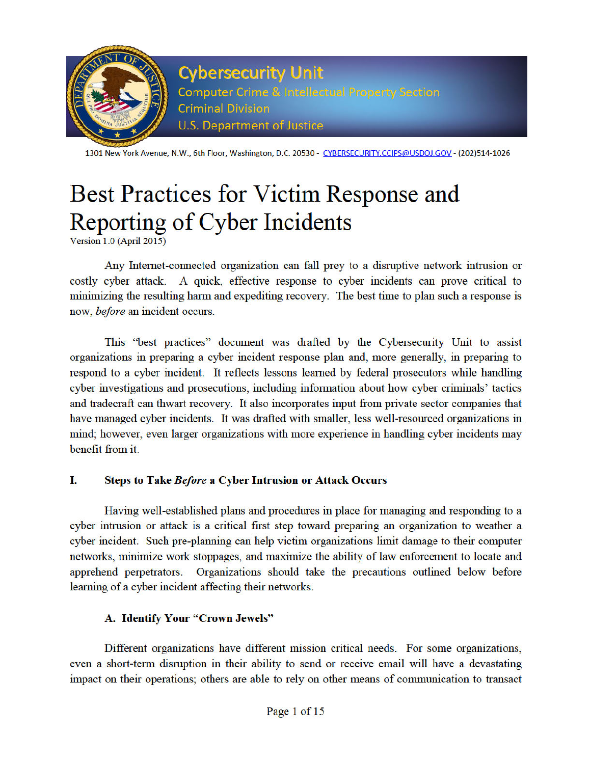

1301 New York Avenue, N.W., 6th Floor, Washington, D.C. 20530 - CYBERSECURITY.CCIPS@USDOJ.GOV - (202)514-1026

# Best Practices for Victim Response and **Reporting of Cyber Incidents** Version 1.0 (April 2015)

Any Internet-connected organization can fall prey to a disruptive network intrusion or costly cyber attack. A quick, effective response to cyber incidents can prove critical to minimizing the resulting harm and expediting recovery. The best time to plan such a response is now, before an incident occurs.

This "best practices" document was drafted by the Cybersecurity Unit to assist organizations in preparing a cyber incident response plan and, more generally, in preparing to respond to a cyber incident. It reflects lessons learned by federal prosecutors while handling cyber investigations and prosecutions, including information about how cyber criminals' tactics and tradecraft can thwart recovery. It also incorporates input from private sector companies that have managed cyber incidents. It was drafted with smaller, less well-resourced organizations in mind; however, even larger organizations with more experience in handling cyber incidents may benefit from it

#### L **Steps to Take Before a Cyber Intrusion or Attack Occurs**

Having well-established plans and procedures in place for managing and responding to a cyber intrusion or attack is a critical first step toward preparing an organization to weather a cyber incident. Such pre-planning can help victim organizations limit damage to their computer networks, minimize work stoppages, and maximize the ability of law enforcement to locate and apprehend perpetrators. Organizations should take the precautions outlined below before learning of a cyber incident affecting their networks.

#### A. Identify Your "Crown Jewels"

Different organizations have different mission critical needs. For some organizations, even a short-term disruption in their ability to send or receive email will have a devastating impact on their operations; others are able to rely on other means of communication to transact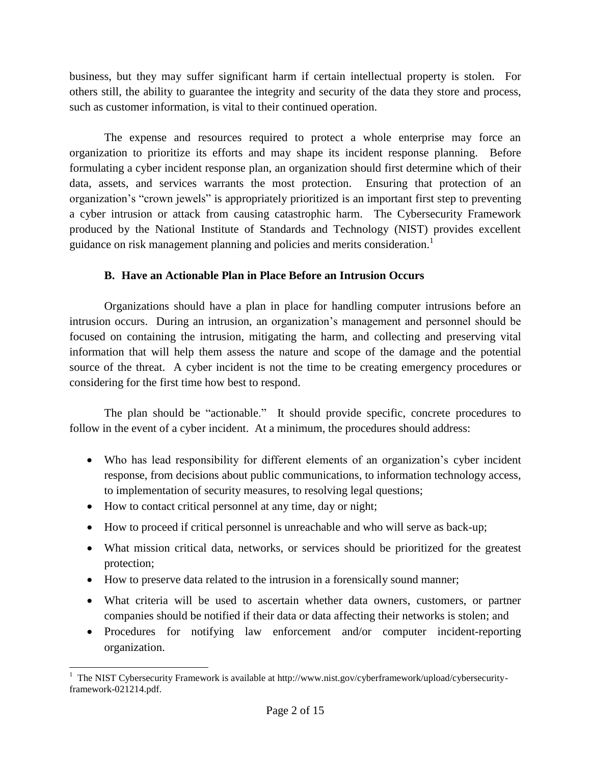business, but they may suffer significant harm if certain intellectual property is stolen. For others still, the ability to guarantee the integrity and security of the data they store and process, such as customer information, is vital to their continued operation.

The expense and resources required to protect a whole enterprise may force an organization to prioritize its efforts and may shape its incident response planning. Before formulating a cyber incident response plan, an organization should first determine which of their data, assets, and services warrants the most protection. Ensuring that protection of an organization's "crown jewels" is appropriately prioritized is an important first step to preventing a cyber intrusion or attack from causing catastrophic harm. The Cybersecurity Framework produced by the National Institute of Standards and Technology (NIST) provides excellent guidance on risk management planning and policies and merits consideration.<sup>1</sup>

#### **B. Have an Actionable Plan in Place Before an Intrusion Occurs**

Organizations should have a plan in place for handling computer intrusions before an intrusion occurs. During an intrusion, an organization's management and personnel should be focused on containing the intrusion, mitigating the harm, and collecting and preserving vital information that will help them assess the nature and scope of the damage and the potential source of the threat. A cyber incident is not the time to be creating emergency procedures or considering for the first time how best to respond.

The plan should be "actionable." It should provide specific, concrete procedures to follow in the event of a cyber incident. At a minimum, the procedures should address:

- Who has lead responsibility for different elements of an organization's cyber incident response, from decisions about public communications, to information technology access, to implementation of security measures, to resolving legal questions;
- How to contact critical personnel at any time, day or night;
- How to proceed if critical personnel is unreachable and who will serve as back-up;
- What mission critical data, networks, or services should be prioritized for the greatest protection;
- How to preserve data related to the intrusion in a forensically sound manner;
- What criteria will be used to ascertain whether data owners, customers, or partner companies should be notified if their data or data affecting their networks is stolen; and
- Procedures for notifying law enforcement and/or computer incident-reporting organization.

 <sup>1</sup> The NIST Cybersecurity Framework is available at http://www.nist.gov/cyberframework/upload/cybersecurityframework-021214.pdf.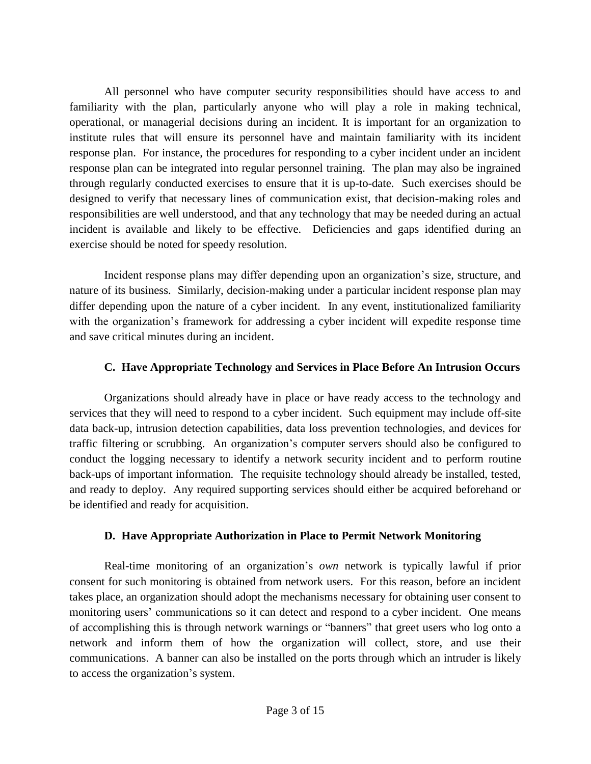All personnel who have computer security responsibilities should have access to and familiarity with the plan, particularly anyone who will play a role in making technical, operational, or managerial decisions during an incident. It is important for an organization to institute rules that will ensure its personnel have and maintain familiarity with its incident response plan. For instance, the procedures for responding to a cyber incident under an incident response plan can be integrated into regular personnel training. The plan may also be ingrained through regularly conducted exercises to ensure that it is up-to-date. Such exercises should be designed to verify that necessary lines of communication exist, that decision-making roles and responsibilities are well understood, and that any technology that may be needed during an actual incident is available and likely to be effective. Deficiencies and gaps identified during an exercise should be noted for speedy resolution.

Incident response plans may differ depending upon an organization's size, structure, and nature of its business. Similarly, decision-making under a particular incident response plan may differ depending upon the nature of a cyber incident. In any event, institutionalized familiarity with the organization's framework for addressing a cyber incident will expedite response time and save critical minutes during an incident.

#### **C. Have Appropriate Technology and Services in Place Before An Intrusion Occurs**

Organizations should already have in place or have ready access to the technology and services that they will need to respond to a cyber incident. Such equipment may include off-site data back-up, intrusion detection capabilities, data loss prevention technologies, and devices for traffic filtering or scrubbing. An organization's computer servers should also be configured to conduct the logging necessary to identify a network security incident and to perform routine back-ups of important information. The requisite technology should already be installed, tested, and ready to deploy. Any required supporting services should either be acquired beforehand or be identified and ready for acquisition.

#### **D. Have Appropriate Authorization in Place to Permit Network Monitoring**

Real-time monitoring of an organization's *own* network is typically lawful if prior consent for such monitoring is obtained from network users. For this reason, before an incident takes place, an organization should adopt the mechanisms necessary for obtaining user consent to monitoring users' communications so it can detect and respond to a cyber incident. One means of accomplishing this is through network warnings or "banners" that greet users who log onto a network and inform them of how the organization will collect, store, and use their communications. A banner can also be installed on the ports through which an intruder is likely to access the organization's system.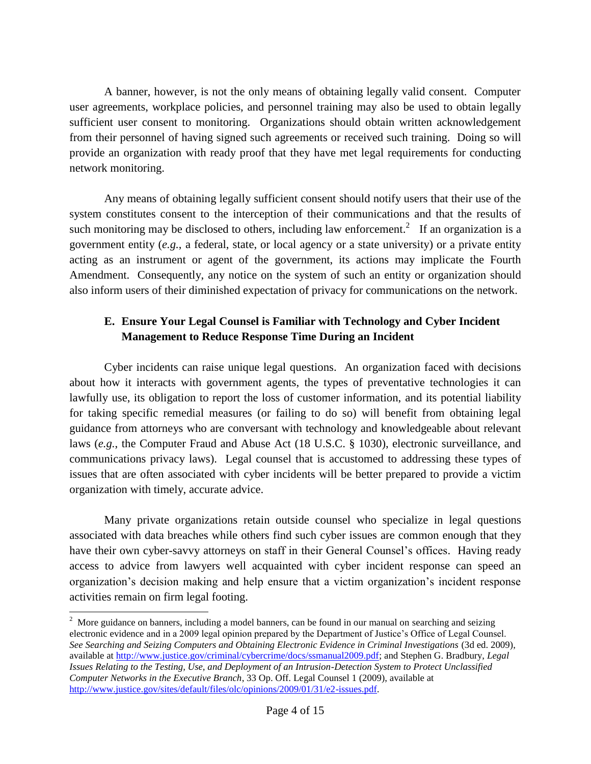A banner, however, is not the only means of obtaining legally valid consent. Computer user agreements, workplace policies, and personnel training may also be used to obtain legally sufficient user consent to monitoring. Organizations should obtain written acknowledgement from their personnel of having signed such agreements or received such training. Doing so will provide an organization with ready proof that they have met legal requirements for conducting network monitoring.

Any means of obtaining legally sufficient consent should notify users that their use of the system constitutes consent to the interception of their communications and that the results of such monitoring may be disclosed to others, including law enforcement.<sup>2</sup> If an organization is a government entity (*e.g.*, a federal, state, or local agency or a state university) or a private entity acting as an instrument or agent of the government, its actions may implicate the Fourth Amendment. Consequently, any notice on the system of such an entity or organization should also inform users of their diminished expectation of privacy for communications on the network.

# **E. Ensure Your Legal Counsel is Familiar with Technology and Cyber Incident Management to Reduce Response Time During an Incident**

Cyber incidents can raise unique legal questions. An organization faced with decisions about how it interacts with government agents, the types of preventative technologies it can lawfully use, its obligation to report the loss of customer information, and its potential liability for taking specific remedial measures (or failing to do so) will benefit from obtaining legal guidance from attorneys who are conversant with technology and knowledgeable about relevant laws (*e.g.*, the Computer Fraud and Abuse Act (18 U.S.C. § 1030), electronic surveillance, and communications privacy laws). Legal counsel that is accustomed to addressing these types of issues that are often associated with cyber incidents will be better prepared to provide a victim organization with timely, accurate advice.

Many private organizations retain outside counsel who specialize in legal questions associated with data breaches while others find such cyber issues are common enough that they have their own cyber-savvy attorneys on staff in their General Counsel's offices. Having ready access to advice from lawyers well acquainted with cyber incident response can speed an organization's decision making and help ensure that a victim organization's incident response activities remain on firm legal footing.

 $2$  More guidance on banners, including a model banners, can be found in our manual on searching and seizing electronic evidence and in a 2009 legal opinion prepared by the Department of Justice's Office of Legal Counsel. *See Searching and Seizing Computers and Obtaining Electronic Evidence in Criminal Investigations* (3d ed. 2009), available at http://www.justice.gov/criminal/cybercrime/docs/ssmanual2009.pdf; and Stephen G. Bradbury, *Legal Issues Relating to the Testing, Use, and Deployment of an Intrusion-Detection System to Protect Unclassified Computer Networks in the Executive Branch*, 33 Op. Off. Legal Counsel 1 (2009), available at http://www.justice.gov/sites/default/files/olc/opinions/2009/01/31/e2-issues.pdf.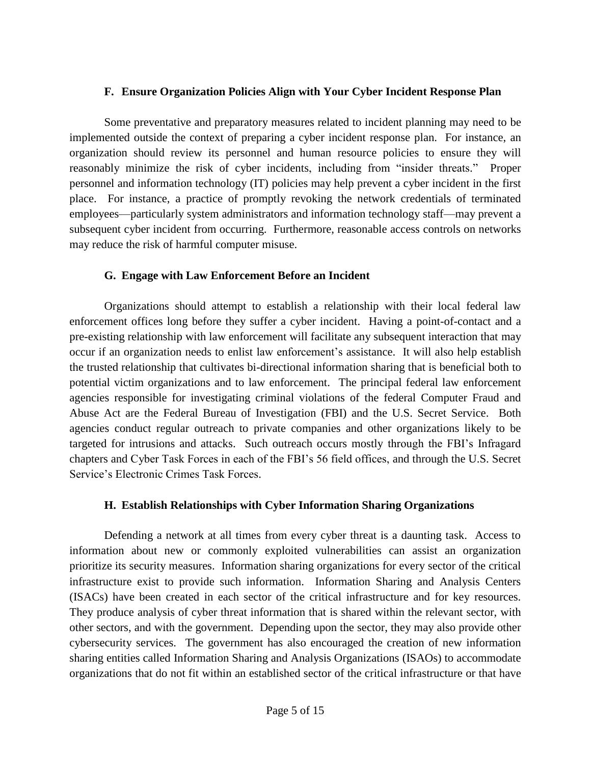#### **F. Ensure Organization Policies Align with Your Cyber Incident Response Plan**

Some preventative and preparatory measures related to incident planning may need to be implemented outside the context of preparing a cyber incident response plan. For instance, an organization should review its personnel and human resource policies to ensure they will reasonably minimize the risk of cyber incidents, including from "insider threats." Proper personnel and information technology (IT) policies may help prevent a cyber incident in the first place. For instance, a practice of promptly revoking the network credentials of terminated employees—particularly system administrators and information technology staff—may prevent a subsequent cyber incident from occurring. Furthermore, reasonable access controls on networks may reduce the risk of harmful computer misuse.

#### **G. Engage with Law Enforcement Before an Incident**

Organizations should attempt to establish a relationship with their local federal law enforcement offices long before they suffer a cyber incident. Having a point-of-contact and a pre-existing relationship with law enforcement will facilitate any subsequent interaction that may occur if an organization needs to enlist law enforcement's assistance. It will also help establish the trusted relationship that cultivates bi-directional information sharing that is beneficial both to potential victim organizations and to law enforcement. The principal federal law enforcement agencies responsible for investigating criminal violations of the federal Computer Fraud and Abuse Act are the Federal Bureau of Investigation (FBI) and the U.S. Secret Service. Both agencies conduct regular outreach to private companies and other organizations likely to be targeted for intrusions and attacks. Such outreach occurs mostly through the FBI's Infragard chapters and Cyber Task Forces in each of the FBI's 56 field offices, and through the U.S. Secret Service's Electronic Crimes Task Forces.

#### **H. Establish Relationships with Cyber Information Sharing Organizations**

Defending a network at all times from every cyber threat is a daunting task. Access to information about new or commonly exploited vulnerabilities can assist an organization prioritize its security measures. Information sharing organizations for every sector of the critical infrastructure exist to provide such information. Information Sharing and Analysis Centers (ISACs) have been created in each sector of the critical infrastructure and for key resources. They produce analysis of cyber threat information that is shared within the relevant sector, with other sectors, and with the government. Depending upon the sector, they may also provide other cybersecurity services. The government has also encouraged the creation of new information sharing entities called Information Sharing and Analysis Organizations (ISAOs) to accommodate organizations that do not fit within an established sector of the critical infrastructure or that have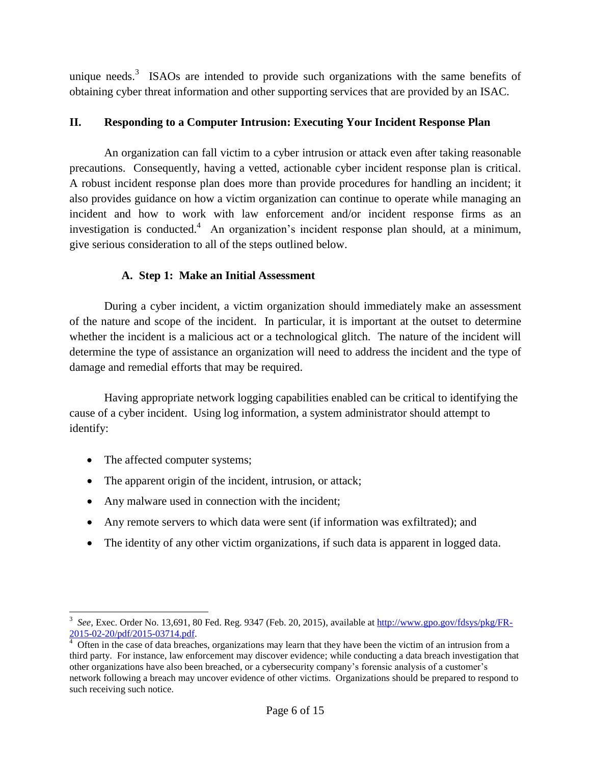unique needs.<sup>3</sup> ISAOs are intended to provide such organizations with the same benefits of obtaining cyber threat information and other supporting services that are provided by an ISAC.

### **II. Responding to a Computer Intrusion: Executing Your Incident Response Plan**

An organization can fall victim to a cyber intrusion or attack even after taking reasonable precautions. Consequently, having a vetted, actionable cyber incident response plan is critical. A robust incident response plan does more than provide procedures for handling an incident; it also provides guidance on how a victim organization can continue to operate while managing an incident and how to work with law enforcement and/or incident response firms as an investigation is conducted.<sup>4</sup> An organization's incident response plan should, at a minimum, give serious consideration to all of the steps outlined below.

# **A. Step 1: Make an Initial Assessment**

During a cyber incident, a victim organization should immediately make an assessment of the nature and scope of the incident. In particular, it is important at the outset to determine whether the incident is a malicious act or a technological glitch. The nature of the incident will determine the type of assistance an organization will need to address the incident and the type of damage and remedial efforts that may be required.

Having appropriate network logging capabilities enabled can be critical to identifying the cause of a cyber incident. Using log information, a system administrator should attempt to identify:

- The affected computer systems;
- The apparent origin of the incident, intrusion, or attack;
- Any malware used in connection with the incident;
- Any remote servers to which data were sent (if information was exfiltrated); and
- The identity of any other victim organizations, if such data is apparent in logged data.

 3 *See,* Exec. Order No. 13,691, 80 Fed. Reg. 9347 (Feb. 20, 2015), available at http://www.gpo.gov/fdsys/pkg/FR-2015-02-20/pdf/2015-03714.pdf.

<sup>&</sup>lt;sup>4</sup> Often in the case of data breaches, organizations may learn that they have been the victim of an intrusion from a third party. For instance, law enforcement may discover evidence; while conducting a data breach investigation that other organizations have also been breached, or a cybersecurity company's forensic analysis of a customer's network following a breach may uncover evidence of other victims. Organizations should be prepared to respond to such receiving such notice.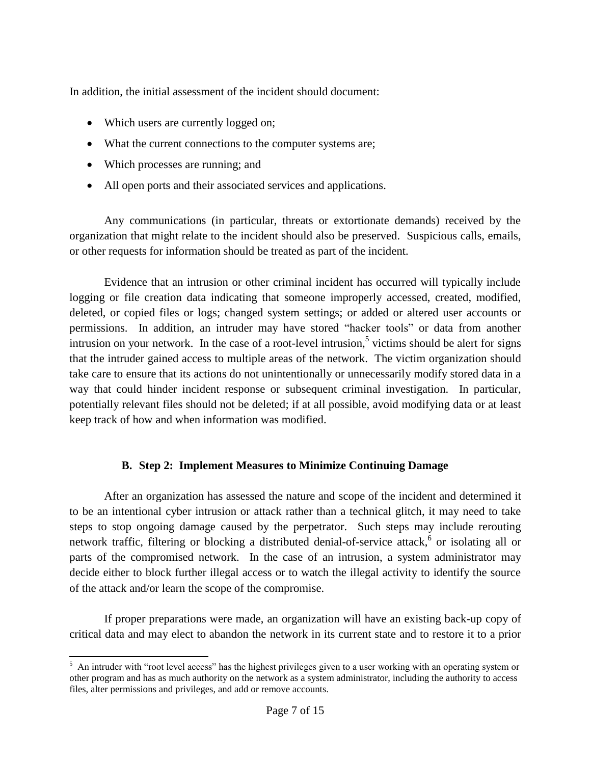In addition, the initial assessment of the incident should document:

- Which users are currently logged on;
- What the current connections to the computer systems are;
- Which processes are running; and
- All open ports and their associated services and applications.

Any communications (in particular, threats or extortionate demands) received by the organization that might relate to the incident should also be preserved. Suspicious calls, emails, or other requests for information should be treated as part of the incident.

Evidence that an intrusion or other criminal incident has occurred will typically include logging or file creation data indicating that someone improperly accessed, created, modified, deleted, or copied files or logs; changed system settings; or added or altered user accounts or permissions. In addition, an intruder may have stored "hacker tools" or data from another intrusion on your network. In the case of a root-level intrusion,<sup>5</sup> victims should be alert for signs that the intruder gained access to multiple areas of the network. The victim organization should take care to ensure that its actions do not unintentionally or unnecessarily modify stored data in a way that could hinder incident response or subsequent criminal investigation. In particular, potentially relevant files should not be deleted; if at all possible, avoid modifying data or at least keep track of how and when information was modified.

#### **B. Step 2: Implement Measures to Minimize Continuing Damage**

After an organization has assessed the nature and scope of the incident and determined it to be an intentional cyber intrusion or attack rather than a technical glitch, it may need to take steps to stop ongoing damage caused by the perpetrator. Such steps may include rerouting network traffic, filtering or blocking a distributed denial-of-service attack,<sup>6</sup> or isolating all or parts of the compromised network. In the case of an intrusion, a system administrator may decide either to block further illegal access or to watch the illegal activity to identify the source of the attack and/or learn the scope of the compromise.

If proper preparations were made, an organization will have an existing back-up copy of critical data and may elect to abandon the network in its current state and to restore it to a prior

<sup>&</sup>lt;sup>5</sup> An intruder with "root level access" has the highest privileges given to a user working with an operating system or other program and has as much authority on the network as a system administrator, including the authority to access files, alter permissions and privileges, and add or remove accounts.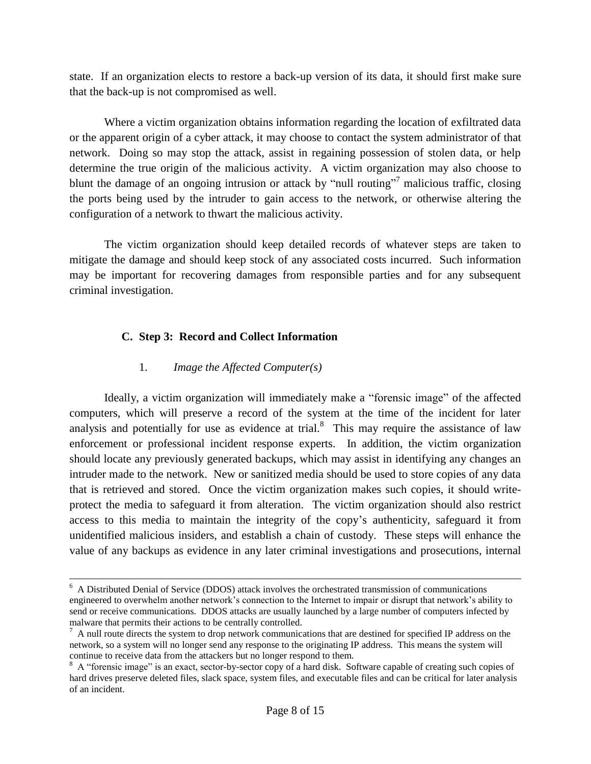state. If an organization elects to restore a back-up version of its data, it should first make sure that the back-up is not compromised as well.

Where a victim organization obtains information regarding the location of exfiltrated data or the apparent origin of a cyber attack, it may choose to contact the system administrator of that network. Doing so may stop the attack, assist in regaining possession of stolen data, or help determine the true origin of the malicious activity. A victim organization may also choose to blunt the damage of an ongoing intrusion or attack by "null routing"<sup>7</sup> malicious traffic, closing the ports being used by the intruder to gain access to the network, or otherwise altering the configuration of a network to thwart the malicious activity.

The victim organization should keep detailed records of whatever steps are taken to mitigate the damage and should keep stock of any associated costs incurred. Such information may be important for recovering damages from responsible parties and for any subsequent criminal investigation.

#### **C. Step 3: Record and Collect Information**

#### 1. *Image the Affected Computer(s)*

Ideally, a victim organization will immediately make a "forensic image" of the affected computers, which will preserve a record of the system at the time of the incident for later analysis and potentially for use as evidence at trial.<sup>8</sup> This may require the assistance of law enforcement or professional incident response experts. In addition, the victim organization should locate any previously generated backups, which may assist in identifying any changes an intruder made to the network. New or sanitized media should be used to store copies of any data that is retrieved and stored. Once the victim organization makes such copies, it should writeprotect the media to safeguard it from alteration. The victim organization should also restrict access to this media to maintain the integrity of the copy's authenticity, safeguard it from unidentified malicious insiders, and establish a chain of custody. These steps will enhance the value of any backups as evidence in any later criminal investigations and prosecutions, internal

<sup>&</sup>lt;sup>6</sup> A Distributed Denial of Service (DDOS) attack involves the orchestrated transmission of communications engineered to overwhelm another network's connection to the Internet to impair or disrupt that network's ability to send or receive communications. DDOS attacks are usually launched by a large number of computers infected by malware that permits their actions to be centrally controlled.

<sup>&</sup>lt;sup>7</sup> A null route directs the system to drop network communications that are destined for specified IP address on the network, so a system will no longer send any response to the originating IP address. This means the system will continue to receive data from the attackers but no longer respond to them.

<sup>&</sup>lt;sup>8</sup> A "forensic image" is an exact, sector-by-sector copy of a hard disk. Software capable of creating such copies of hard drives preserve deleted files, slack space, system files, and executable files and can be critical for later analysis of an incident.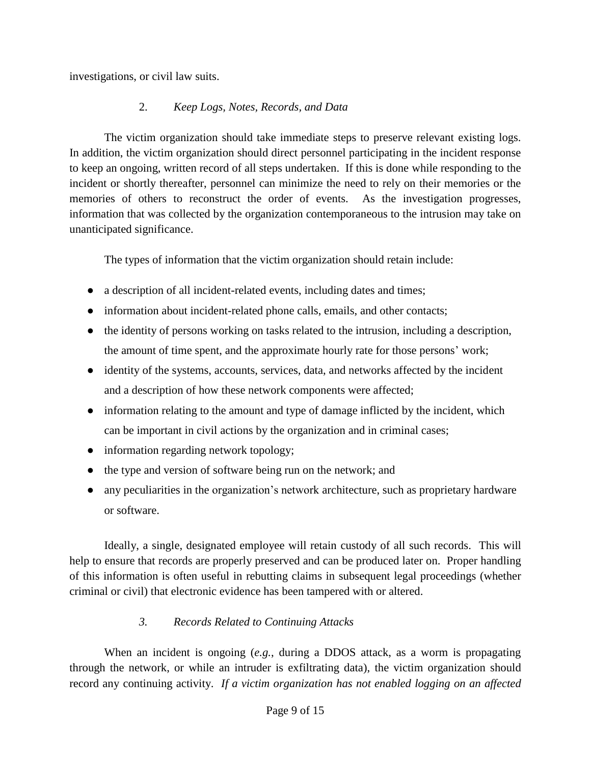investigations, or civil law suits.

#### 2. *Keep Logs, Notes, Records, and Data*

The victim organization should take immediate steps to preserve relevant existing logs. In addition, the victim organization should direct personnel participating in the incident response to keep an ongoing, written record of all steps undertaken. If this is done while responding to the incident or shortly thereafter, personnel can minimize the need to rely on their memories or the memories of others to reconstruct the order of events. As the investigation progresses, information that was collected by the organization contemporaneous to the intrusion may take on unanticipated significance.

The types of information that the victim organization should retain include:

- a description of all incident-related events, including dates and times;
- information about incident-related phone calls, emails, and other contacts;
- the identity of persons working on tasks related to the intrusion, including a description, the amount of time spent, and the approximate hourly rate for those persons' work;
- identity of the systems, accounts, services, data, and networks affected by the incident and a description of how these network components were affected;
- information relating to the amount and type of damage inflicted by the incident, which can be important in civil actions by the organization and in criminal cases;
- information regarding network topology;
- the type and version of software being run on the network; and
- any peculiarities in the organization's network architecture, such as proprietary hardware or software.

Ideally, a single, designated employee will retain custody of all such records. This will help to ensure that records are properly preserved and can be produced later on. Proper handling of this information is often useful in rebutting claims in subsequent legal proceedings (whether criminal or civil) that electronic evidence has been tampered with or altered.

# *3. Records Related to Continuing Attacks*

When an incident is ongoing (*e.g.*, during a DDOS attack, as a worm is propagating through the network, or while an intruder is exfiltrating data), the victim organization should record any continuing activity. *If a victim organization has not enabled logging on an affected*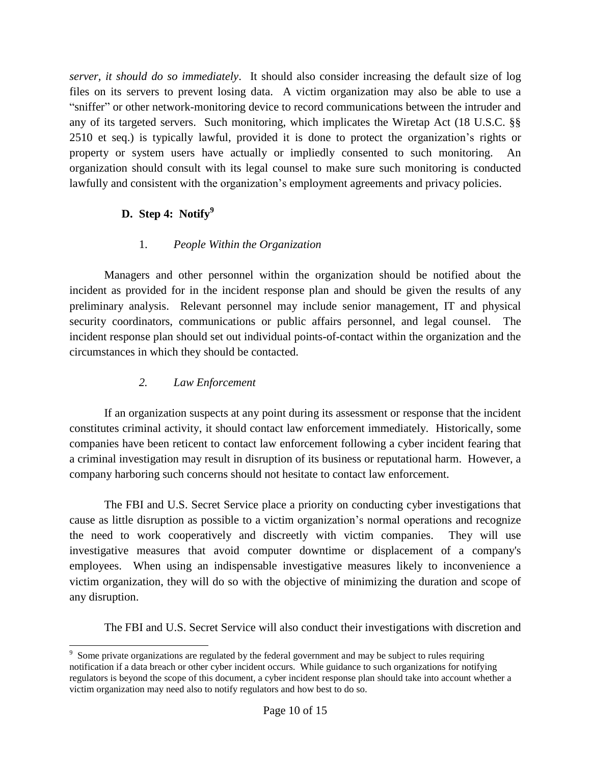*server, it should do so immediately*. It should also consider increasing the default size of log files on its servers to prevent losing data. A victim organization may also be able to use a "sniffer" or other network-monitoring device to record communications between the intruder and any of its targeted servers. Such monitoring, which implicates the Wiretap Act (18 U.S.C. §§ 2510 et seq.) is typically lawful, provided it is done to protect the organization's rights or property or system users have actually or impliedly consented to such monitoring. An organization should consult with its legal counsel to make sure such monitoring is conducted lawfully and consistent with the organization's employment agreements and privacy policies.

# **D. Step 4: Notify<sup>9</sup>**

# 1. *People Within the Organization*

Managers and other personnel within the organization should be notified about the incident as provided for in the incident response plan and should be given the results of any preliminary analysis. Relevant personnel may include senior management, IT and physical security coordinators, communications or public affairs personnel, and legal counsel. The incident response plan should set out individual points-of-contact within the organization and the circumstances in which they should be contacted.

### *2. Law Enforcement*

If an organization suspects at any point during its assessment or response that the incident constitutes criminal activity, it should contact law enforcement immediately. Historically, some companies have been reticent to contact law enforcement following a cyber incident fearing that a criminal investigation may result in disruption of its business or reputational harm. However, a company harboring such concerns should not hesitate to contact law enforcement.

The FBI and U.S. Secret Service place a priority on conducting cyber investigations that cause as little disruption as possible to a victim organization's normal operations and recognize the need to work cooperatively and discreetly with victim companies. They will use investigative measures that avoid computer downtime or displacement of a company's employees. When using an indispensable investigative measures likely to inconvenience a victim organization, they will do so with the objective of minimizing the duration and scope of any disruption.

The FBI and U.S. Secret Service will also conduct their investigations with discretion and

 <sup>9</sup> Some private organizations are regulated by the federal government and may be subject to rules requiring notification if a data breach or other cyber incident occurs. While guidance to such organizations for notifying regulators is beyond the scope of this document, a cyber incident response plan should take into account whether a victim organization may need also to notify regulators and how best to do so.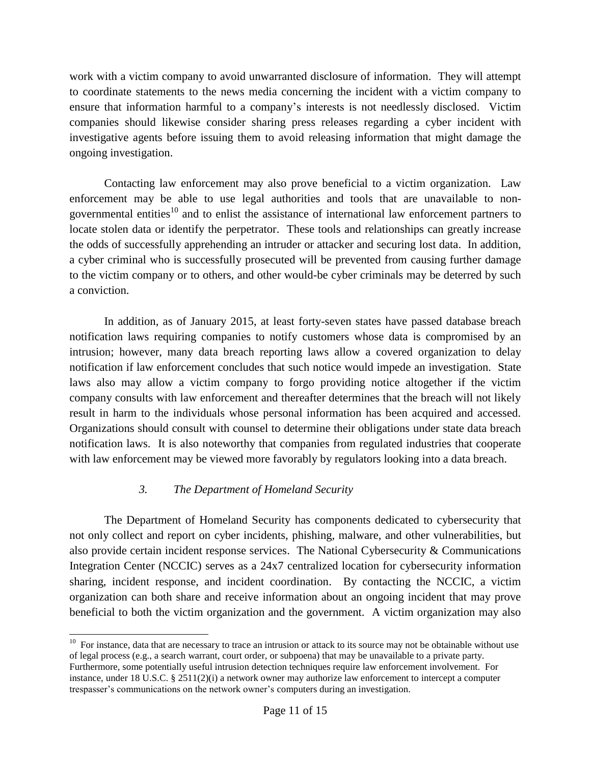work with a victim company to avoid unwarranted disclosure of information. They will attempt to coordinate statements to the news media concerning the incident with a victim company to ensure that information harmful to a company's interests is not needlessly disclosed. Victim companies should likewise consider sharing press releases regarding a cyber incident with investigative agents before issuing them to avoid releasing information that might damage the ongoing investigation.

Contacting law enforcement may also prove beneficial to a victim organization. Law enforcement may be able to use legal authorities and tools that are unavailable to nongovernmental entities<sup>10</sup> and to enlist the assistance of international law enforcement partners to locate stolen data or identify the perpetrator. These tools and relationships can greatly increase the odds of successfully apprehending an intruder or attacker and securing lost data. In addition, a cyber criminal who is successfully prosecuted will be prevented from causing further damage to the victim company or to others, and other would-be cyber criminals may be deterred by such a conviction.

In addition, as of January 2015, at least forty-seven states have passed database breach notification laws requiring companies to notify customers whose data is compromised by an intrusion; however, many data breach reporting laws allow a covered organization to delay notification if law enforcement concludes that such notice would impede an investigation. State laws also may allow a victim company to forgo providing notice altogether if the victim company consults with law enforcement and thereafter determines that the breach will not likely result in harm to the individuals whose personal information has been acquired and accessed. Organizations should consult with counsel to determine their obligations under state data breach notification laws. It is also noteworthy that companies from regulated industries that cooperate with law enforcement may be viewed more favorably by regulators looking into a data breach.

#### *3. The Department of Homeland Security*

The Department of Homeland Security has components dedicated to cybersecurity that not only collect and report on cyber incidents, phishing, malware, and other vulnerabilities, but also provide certain incident response services. The National Cybersecurity & Communications Integration Center (NCCIC) serves as a 24x7 centralized location for cybersecurity information sharing, incident response, and incident coordination. By contacting the NCCIC, a victim organization can both share and receive information about an ongoing incident that may prove beneficial to both the victim organization and the government. A victim organization may also

<sup>&</sup>lt;sup>10</sup> For instance, data that are necessary to trace an intrusion or attack to its source may not be obtainable without use of legal process (e.g., a search warrant, court order, or subpoena) that may be unavailable to a private party. Furthermore, some potentially useful intrusion detection techniques require law enforcement involvement. For instance, under 18 U.S.C. § 2511(2)(i) a network owner may authorize law enforcement to intercept a computer trespasser's communications on the network owner's computers during an investigation.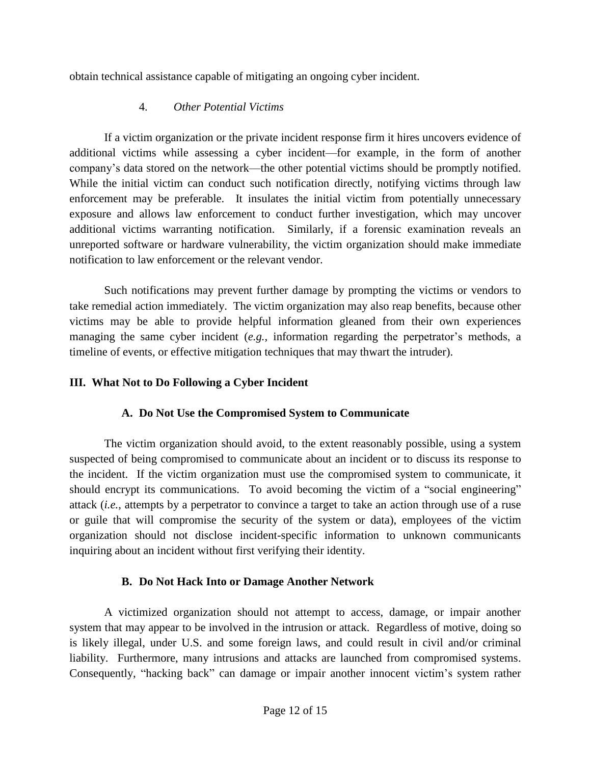obtain technical assistance capable of mitigating an ongoing cyber incident.

#### 4. *Other Potential Victims*

If a victim organization or the private incident response firm it hires uncovers evidence of additional victims while assessing a cyber incident—for example, in the form of another company's data stored on the network—the other potential victims should be promptly notified. While the initial victim can conduct such notification directly, notifying victims through law enforcement may be preferable. It insulates the initial victim from potentially unnecessary exposure and allows law enforcement to conduct further investigation, which may uncover additional victims warranting notification. Similarly, if a forensic examination reveals an unreported software or hardware vulnerability, the victim organization should make immediate notification to law enforcement or the relevant vendor.

Such notifications may prevent further damage by prompting the victims or vendors to take remedial action immediately. The victim organization may also reap benefits, because other victims may be able to provide helpful information gleaned from their own experiences managing the same cyber incident (*e.g.*, information regarding the perpetrator's methods, a timeline of events, or effective mitigation techniques that may thwart the intruder).

# **III. What Not to Do Following a Cyber Incident**

# **A. Do Not Use the Compromised System to Communicate**

The victim organization should avoid, to the extent reasonably possible, using a system suspected of being compromised to communicate about an incident or to discuss its response to the incident. If the victim organization must use the compromised system to communicate, it should encrypt its communications. To avoid becoming the victim of a "social engineering" attack (*i.e.*, attempts by a perpetrator to convince a target to take an action through use of a ruse or guile that will compromise the security of the system or data), employees of the victim organization should not disclose incident-specific information to unknown communicants inquiring about an incident without first verifying their identity.

# **B. Do Not Hack Into or Damage Another Network**

A victimized organization should not attempt to access, damage, or impair another system that may appear to be involved in the intrusion or attack. Regardless of motive, doing so is likely illegal, under U.S. and some foreign laws, and could result in civil and/or criminal liability. Furthermore, many intrusions and attacks are launched from compromised systems. Consequently, "hacking back" can damage or impair another innocent victim's system rather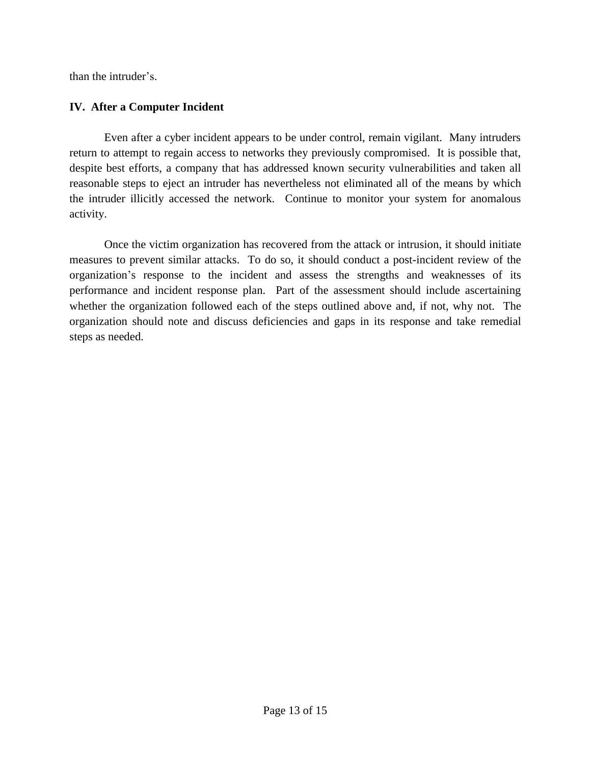than the intruder's.

#### **IV. After a Computer Incident**

Even after a cyber incident appears to be under control, remain vigilant. Many intruders return to attempt to regain access to networks they previously compromised. It is possible that, despite best efforts, a company that has addressed known security vulnerabilities and taken all reasonable steps to eject an intruder has nevertheless not eliminated all of the means by which the intruder illicitly accessed the network. Continue to monitor your system for anomalous activity.

Once the victim organization has recovered from the attack or intrusion, it should initiate measures to prevent similar attacks. To do so, it should conduct a post-incident review of the organization's response to the incident and assess the strengths and weaknesses of its performance and incident response plan. Part of the assessment should include ascertaining whether the organization followed each of the steps outlined above and, if not, why not. The organization should note and discuss deficiencies and gaps in its response and take remedial steps as needed.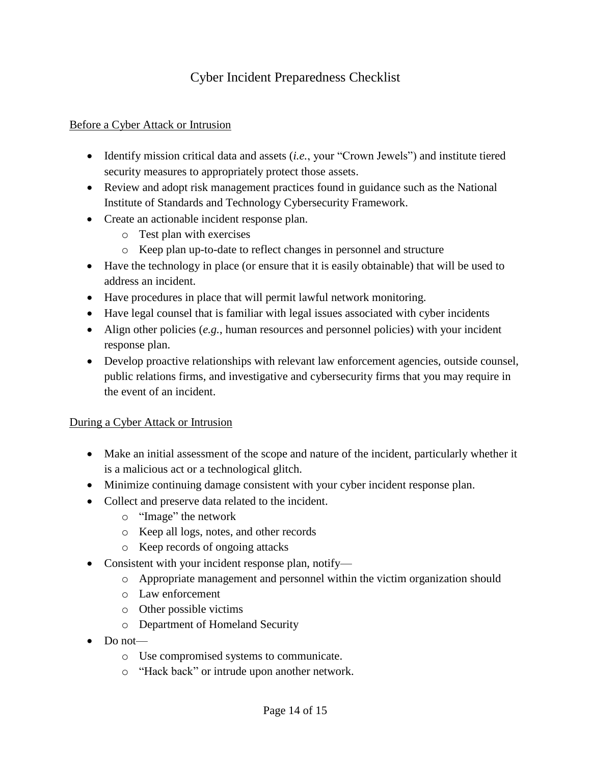# Cyber Incident Preparedness Checklist

#### Before a Cyber Attack or Intrusion

- Identify mission critical data and assets (*i.e.*, your "Crown Jewels") and institute tiered security measures to appropriately protect those assets.
- Review and adopt risk management practices found in guidance such as the National Institute of Standards and Technology Cybersecurity Framework.
- Create an actionable incident response plan.
	- o Test plan with exercises
	- o Keep plan up-to-date to reflect changes in personnel and structure
- Have the technology in place (or ensure that it is easily obtainable) that will be used to address an incident.
- Have procedures in place that will permit lawful network monitoring.
- Have legal counsel that is familiar with legal issues associated with cyber incidents
- Align other policies (*e.g.*, human resources and personnel policies) with your incident response plan.
- Develop proactive relationships with relevant law enforcement agencies, outside counsel, public relations firms, and investigative and cybersecurity firms that you may require in the event of an incident.

#### During a Cyber Attack or Intrusion

- Make an initial assessment of the scope and nature of the incident, particularly whether it is a malicious act or a technological glitch.
- Minimize continuing damage consistent with your cyber incident response plan.
- Collect and preserve data related to the incident.
	- o "Image" the network
	- o Keep all logs, notes, and other records
	- o Keep records of ongoing attacks
- Consistent with your incident response plan, notify
	- o Appropriate management and personnel within the victim organization should
	- o Law enforcement
	- o Other possible victims
	- o Department of Homeland Security
- Do not
	- o Use compromised systems to communicate.
	- o "Hack back" or intrude upon another network.